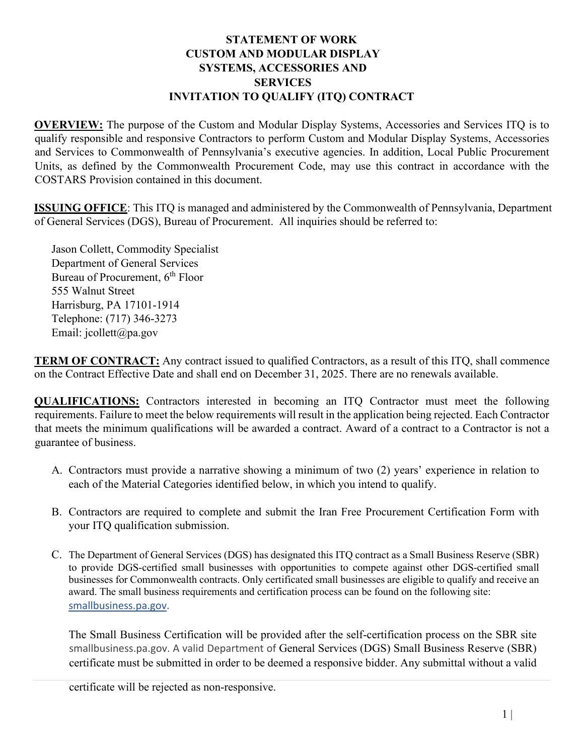## **STATEMENT OF WORK CUSTOM AND MODULAR DISPLAY SYSTEMS, ACCESSORIES AND SERVICES INVITATION TO QUALIFY (ITQ) CONTRACT**

**OVERVIEW:** The purpose of the Custom and Modular Display Systems, Accessories and Services ITQ is to qualify responsible and responsive Contractors to perform Custom and Modular Display Systems, Accessories and Services to Commonwealth of Pennsylvania's executive agencies. In addition, Local Public Procurement Units, as defined by the Commonwealth Procurement Code, may use this contract in accordance with the COSTARS Provision contained in this document.

**ISSUING OFFICE**: This ITQ is managed and administered by the Commonwealth of Pennsylvania, Department of General Services (DGS), Bureau of Procurement. All inquiries should be referred to:

Jason Collett, Commodity Specialist Department of General Services Bureau of Procurement, 6<sup>th</sup> Floor 555 Walnut Street Harrisburg, PA 17101-1914 Telephone: (717) 346-3273 Email: jcollett@pa.gov

**TERM OF CONTRACT:** Any contract issued to qualified Contractors, as a result of this ITQ, shall commence on the Contract Effective Date and shall end on December 31, 2025. There are no renewals available.

**QUALIFICATIONS:** Contractors interested in becoming an ITQ Contractor must meet the following requirements. Failure to meet the below requirements will result in the application being rejected. Each Contractor that meets the minimum qualifications will be awarded a contract. Award of a contract to a Contractor is not a guarantee of business.

- A. Contractors must provide a narrative showing a minimum of two (2) years' experience in relation to each of the Material Categories identified below, in which you intend to qualify.
- B. Contractors are required to complete and submit the Iran Free Procurement Certification Form with your ITQ qualification submission.
- C. The Department of General Services (DGS) has designated this ITQ contract as a Small Business Reserve (SBR) to provide DGS-certified small businesses with opportunities to compete against other DGS-certified small businesses for Commonwealth contracts. Only certificated small businesses are eligible to qualify and receive an award. The small business requirements and certification process can be found on the following site: [smallbusiness.pa.gov.](https://www.dgs.pa.gov/Small%20Business%20Contracting%20Program/Pages/default.aspx)

The Small Business Certification will be provided after the self-certification process on the SBR site smallbusiness.pa.gov. A valid Department of General Services (DGS) Small Business Reserve (SBR) certificate must be submitted in order to be deemed a responsive bidder. Any submittal without a valid

certificate will be rejected as non-responsive.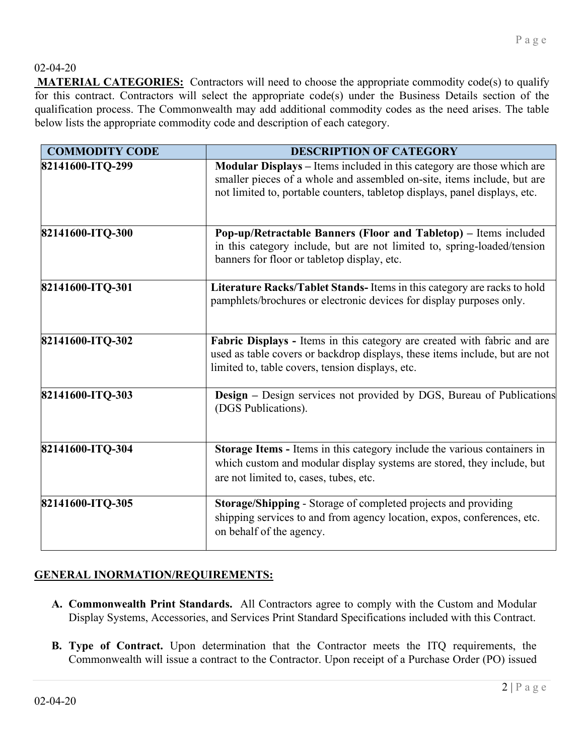## 02-04-20

**MATERIAL CATEGORIES:** Contractors will need to choose the appropriate commodity code(s) to qualify for this contract. Contractors will select the appropriate code(s) under the Business Details section of the qualification process. The Commonwealth may add additional commodity codes as the need arises. The table below lists the appropriate commodity code and description of each category.

| <b>COMMODITY CODE</b> | <b>DESCRIPTION OF CATEGORY</b>                                                                                                                                                                                                         |
|-----------------------|----------------------------------------------------------------------------------------------------------------------------------------------------------------------------------------------------------------------------------------|
| 82141600-ITQ-299      | <b>Modular Displays</b> – Items included in this category are those which are<br>smaller pieces of a whole and assembled on-site, items include, but are<br>not limited to, portable counters, tabletop displays, panel displays, etc. |
| 82141600-ITQ-300      | Pop-up/Retractable Banners (Floor and Tabletop) – Items included<br>in this category include, but are not limited to, spring-loaded/tension<br>banners for floor or tabletop display, etc.                                             |
| 82141600-ITQ-301      | Literature Racks/Tablet Stands-Items in this category are racks to hold<br>pamphlets/brochures or electronic devices for display purposes only.                                                                                        |
| 82141600-ITQ-302      | Fabric Displays - Items in this category are created with fabric and are<br>used as table covers or backdrop displays, these items include, but are not<br>limited to, table covers, tension displays, etc.                            |
| 82141600-ITQ-303      | <b>Design</b> - Design services not provided by DGS, Bureau of Publications<br>(DGS Publications).                                                                                                                                     |
| 82141600-ITQ-304      | Storage Items - Items in this category include the various containers in<br>which custom and modular display systems are stored, they include, but<br>are not limited to, cases, tubes, etc.                                           |
| 82141600-ITQ-305      | Storage/Shipping - Storage of completed projects and providing<br>shipping services to and from agency location, expos, conferences, etc.<br>on behalf of the agency.                                                                  |

## **GENERAL INORMATION/REQUIREMENTS:**

- **A. Commonwealth Print Standards.** All Contractors agree to comply with the Custom and Modular Display Systems, Accessories, and Services Print Standard Specifications included with this Contract.
- **B. Type of Contract.** Upon determination that the Contractor meets the ITQ requirements, the Commonwealth will issue a contract to the Contractor. Upon receipt of a Purchase Order (PO) issued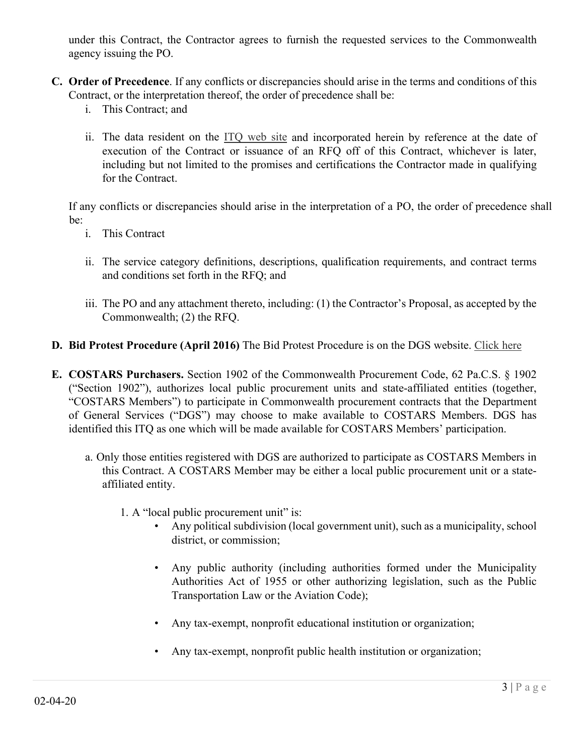under this Contract, the Contractor agrees to furnish the requested services to the Commonwealth agency issuing the PO.

- **C. Order of Precedence**. If any conflicts or discrepancies should arise in the terms and conditions of this Contract, or the interpretation thereof, the order of precedence shall be:
	- i. This Contract; and
	- ii. The data resident on the [ITQ web site](http://www.dgs.pa.gov/Businesses/Materials%20and%20Services%20Procurement/Procurement-Resources/Pages/ITQ-Documents.aspx) and incorporated herein by reference at the date of execution of the Contract or issuance of an RFQ off of this Contract, whichever is later, including but not limited to the promises and certifications the Contractor made in qualifying for the Contract.

If any conflicts or discrepancies should arise in the interpretation of a PO, the order of precedence shall be:

- i. This Contract
- ii. The service category definitions, descriptions, qualification requirements, and contract terms and conditions set forth in the RFQ; and
- iii. The PO and any attachment thereto, including: (1) the Contractor's Proposal, as accepted by the Commonwealth; (2) the RFQ.
- **D. Bid Protest Procedure (April 2016)** The Bid Protest Procedure is on the DGS website. [Click here](http://www.dgs.pa.gov/Documents/Procurement%20Forms/Handbook/Pt1/Pt%20I%20Ch%2058%20Bid%20Protests.pdf.)
- **E. COSTARS Purchasers.** Section 1902 of the Commonwealth Procurement Code, 62 Pa.C.S. § 1902 ("Section 1902"), authorizes local public procurement units and state-affiliated entities (together, "COSTARS Members") to participate in Commonwealth procurement contracts that the Department of General Services ("DGS") may choose to make available to COSTARS Members. DGS has identified this ITQ as one which will be made available for COSTARS Members' participation.
	- a. Only those entities registered with DGS are authorized to participate as COSTARS Members in this Contract. A COSTARS Member may be either a local public procurement unit or a stateaffiliated entity.
		- 1. A "local public procurement unit" is:
			- Any political subdivision (local government unit), such as a municipality, school district, or commission;
			- Any public authority (including authorities formed under the Municipality Authorities Act of 1955 or other authorizing legislation, such as the Public Transportation Law or the Aviation Code);
			- Any tax-exempt, nonprofit educational institution or organization;
			- Any tax-exempt, nonprofit public health institution or organization;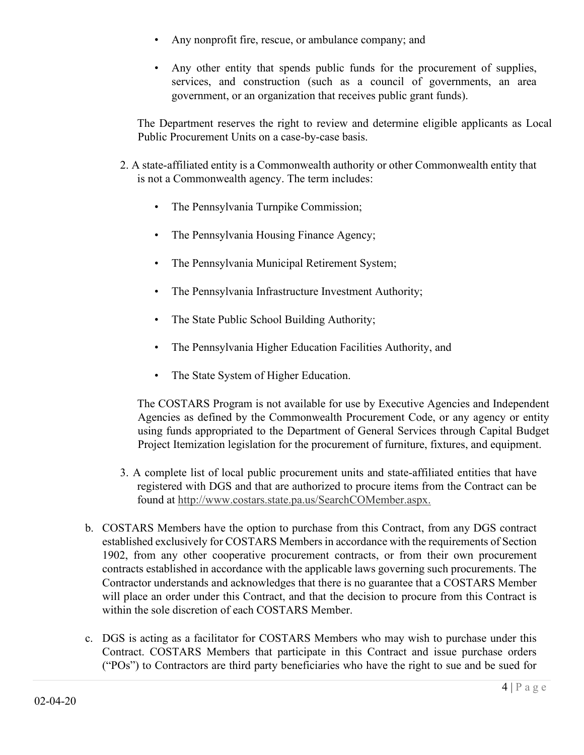- Any nonprofit fire, rescue, or ambulance company; and
- Any other entity that spends public funds for the procurement of supplies, services, and construction (such as a council of governments, an area government, or an organization that receives public grant funds).

The Department reserves the right to review and determine eligible applicants as Local Public Procurement Units on a case-by-case basis.

- 2. A state-affiliated entity is a Commonwealth authority or other Commonwealth entity that is not a Commonwealth agency. The term includes:
	- The Pennsylvania Turnpike Commission;
	- The Pennsylvania Housing Finance Agency;
	- The Pennsylvania Municipal Retirement System;
	- The Pennsylvania Infrastructure Investment Authority;
	- The State Public School Building Authority;
	- The Pennsylvania Higher Education Facilities Authority, and
	- The State System of Higher Education.

The COSTARS Program is not available for use by Executive Agencies and Independent Agencies as defined by the Commonwealth Procurement Code, or any agency or entity using funds appropriated to the Department of General Services through Capital Budget Project Itemization legislation for the procurement of furniture, fixtures, and equipment.

- 3. A complete list of local public procurement units and state-affiliated entities that have registered with DGS and that are authorized to procure items from the Contract can be found at [http://www.costars.state.pa.us/SearchCOMember.aspx.](http://www.costars.state.pa.us/SearchCOMember.aspx)
- b. COSTARS Members have the option to purchase from this Contract, from any DGS contract established exclusively for COSTARS Members in accordance with the requirements of Section 1902, from any other cooperative procurement contracts, or from their own procurement contracts established in accordance with the applicable laws governing such procurements. The Contractor understands and acknowledges that there is no guarantee that a COSTARS Member will place an order under this Contract, and that the decision to procure from this Contract is within the sole discretion of each COSTARS Member.
- c. DGS is acting as a facilitator for COSTARS Members who may wish to purchase under this Contract. COSTARS Members that participate in this Contract and issue purchase orders ("POs") to Contractors are third party beneficiaries who have the right to sue and be sued for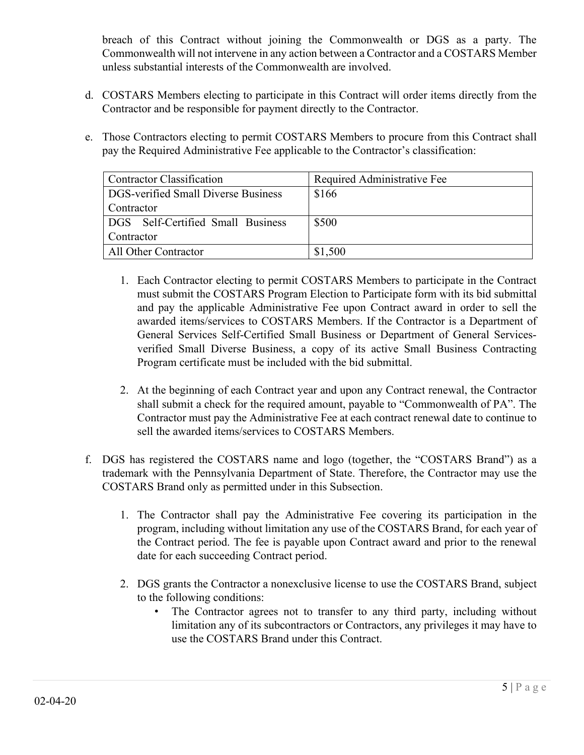breach of this Contract without joining the Commonwealth or DGS as a party. The Commonwealth will not intervene in any action between a Contractor and a COSTARS Member unless substantial interests of the Commonwealth are involved.

- d. COSTARS Members electing to participate in this Contract will order items directly from the Contractor and be responsible for payment directly to the Contractor.
- e. Those Contractors electing to permit COSTARS Members to procure from this Contract shall pay the Required Administrative Fee applicable to the Contractor's classification:

| <b>Contractor Classification</b>    | Required Administrative Fee |
|-------------------------------------|-----------------------------|
| DGS-verified Small Diverse Business | \$166                       |
| Contractor                          |                             |
| DGS Self-Certified Small Business   | \$500                       |
| Contractor                          |                             |
| All Other Contractor                | \$1,500                     |

- 1. Each Contractor electing to permit COSTARS Members to participate in the Contract must submit the COSTARS Program Election to Participate form with its bid submittal and pay the applicable Administrative Fee upon Contract award in order to sell the awarded items/services to COSTARS Members. If the Contractor is a Department of General Services Self-Certified Small Business or Department of General Servicesverified Small Diverse Business, a copy of its active Small Business Contracting Program certificate must be included with the bid submittal.
- 2. At the beginning of each Contract year and upon any Contract renewal, the Contractor shall submit a check for the required amount, payable to "Commonwealth of PA". The Contractor must pay the Administrative Fee at each contract renewal date to continue to sell the awarded items/services to COSTARS Members.
- f. DGS has registered the COSTARS name and logo (together, the "COSTARS Brand") as a trademark with the Pennsylvania Department of State. Therefore, the Contractor may use the COSTARS Brand only as permitted under in this Subsection.
	- 1. The Contractor shall pay the Administrative Fee covering its participation in the program, including without limitation any use of the COSTARS Brand, for each year of the Contract period. The fee is payable upon Contract award and prior to the renewal date for each succeeding Contract period.
	- 2. DGS grants the Contractor a nonexclusive license to use the COSTARS Brand, subject to the following conditions:
		- The Contractor agrees not to transfer to any third party, including without limitation any of its subcontractors or Contractors, any privileges it may have to use the COSTARS Brand under this Contract.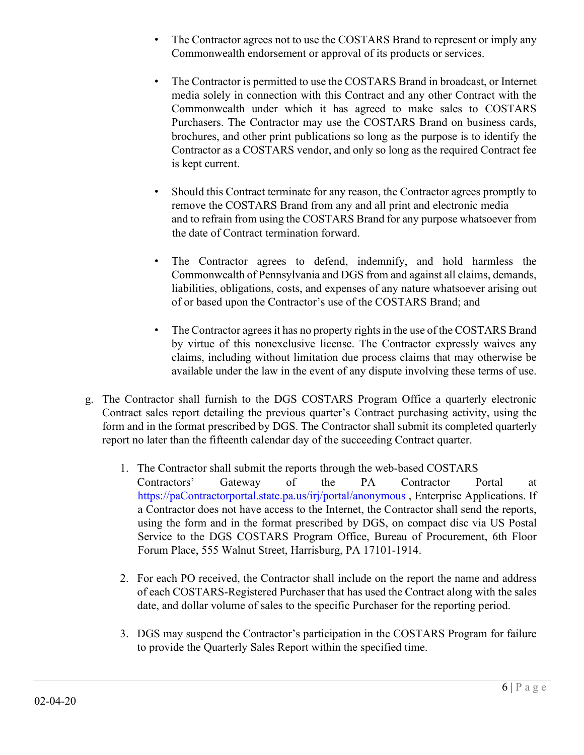- The Contractor agrees not to use the COSTARS Brand to represent or imply any Commonwealth endorsement or approval of its products or services.
- The Contractor is permitted to use the COSTARS Brand in broadcast, or Internet media solely in connection with this Contract and any other Contract with the Commonwealth under which it has agreed to make sales to COSTARS Purchasers. The Contractor may use the COSTARS Brand on business cards, brochures, and other print publications so long as the purpose is to identify the Contractor as a COSTARS vendor, and only so long as the required Contract fee is kept current.
- Should this Contract terminate for any reason, the Contractor agrees promptly to remove the COSTARS Brand from any and all print and electronic media and to refrain from using the COSTARS Brand for any purpose whatsoever from the date of Contract termination forward.
- The Contractor agrees to defend, indemnify, and hold harmless the Commonwealth of Pennsylvania and DGS from and against all claims, demands, liabilities, obligations, costs, and expenses of any nature whatsoever arising out of or based upon the Contractor's use of the COSTARS Brand; and
- The Contractor agrees it has no property rights in the use of the COSTARS Brand by virtue of this nonexclusive license. The Contractor expressly waives any claims, including without limitation due process claims that may otherwise be available under the law in the event of any dispute involving these terms of use.
- g. The Contractor shall furnish to the DGS COSTARS Program Office a quarterly electronic Contract sales report detailing the previous quarter's Contract purchasing activity, using the form and in the format prescribed by DGS. The Contractor shall submit its completed quarterly report no later than the fifteenth calendar day of the succeeding Contract quarter.
	- 1. The Contractor shall submit the reports through the web-based COSTARS Contractors' Gateway of the PA Contractor Portal at https://paContractorportal.state.pa.us/irj/portal/anonymous , Enterprise Applications. If a Contractor does not have access to the Internet, the Contractor shall send the reports, using the form and in the format prescribed by DGS, on compact disc via US Postal Service to the DGS COSTARS Program Office, Bureau of Procurement, 6th Floor Forum Place, 555 Walnut Street, Harrisburg, PA 17101-1914.
	- 2. For each PO received, the Contractor shall include on the report the name and address of each COSTARS-Registered Purchaser that has used the Contract along with the sales date, and dollar volume of sales to the specific Purchaser for the reporting period.
	- 3. DGS may suspend the Contractor's participation in the COSTARS Program for failure to provide the Quarterly Sales Report within the specified time.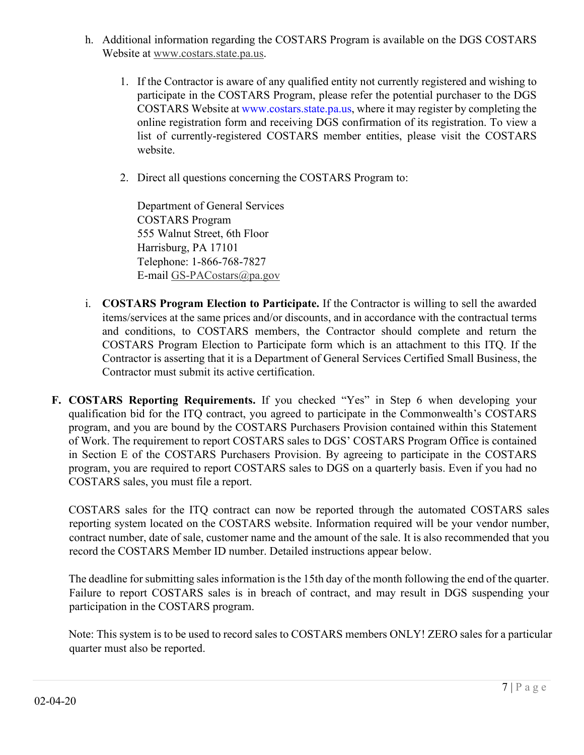- h. Additional information regarding the COSTARS Program is available on the DGS COSTARS Website at [www.costars.state.pa.us.](http://www.costars.state.pa.us/)
	- 1. If the Contractor is aware of any qualified entity not currently registered and wishing to participate in the COSTARS Program, please refer the potential purchaser to the DGS COSTARS Website at www.costars.state.pa.us, where it may register by completing the online registration form and receiving DGS confirmation of its registration. To view a list of currently-registered COSTARS member entities, please visit the COSTARS website.
	- 2. Direct all questions concerning the COSTARS Program to:

Department of General Services COSTARS Program 555 Walnut Street, 6th Floor Harrisburg, PA 17101 Telephone: 1-866-768-7827 E-mail GS-PACostars@pa.gov

- i. **COSTARS Program Election to Participate.** If the Contractor is willing to sell the awarded items/services at the same prices and/or discounts, and in accordance with the contractual terms and conditions, to COSTARS members, the Contractor should complete and return the COSTARS Program Election to Participate form which is an attachment to this ITQ. If the Contractor is asserting that it is a Department of General Services Certified Small Business, the Contractor must submit its active certification.
- **F. COSTARS Reporting Requirements.** If you checked "Yes" in Step 6 when developing your qualification bid for the ITQ contract, you agreed to participate in the Commonwealth's COSTARS program, and you are bound by the COSTARS Purchasers Provision contained within this Statement of Work. The requirement to report COSTARS sales to DGS' COSTARS Program Office is contained in Section E of the COSTARS Purchasers Provision. By agreeing to participate in the COSTARS program, you are required to report COSTARS sales to DGS on a quarterly basis. Even if you had no COSTARS sales, you must file a report.

COSTARS sales for the ITQ contract can now be reported through the automated COSTARS sales reporting system located on the COSTARS website. Information required will be your vendor number, contract number, date of sale, customer name and the amount of the sale. It is also recommended that you record the COSTARS Member ID number. Detailed instructions appear below.

The deadline for submitting sales information is the 15th day of the month following the end of the quarter. Failure to report COSTARS sales is in breach of contract, and may result in DGS suspending your participation in the COSTARS program.

Note: This system is to be used to record sales to COSTARS members ONLY! ZERO sales for a particular quarter must also be reported.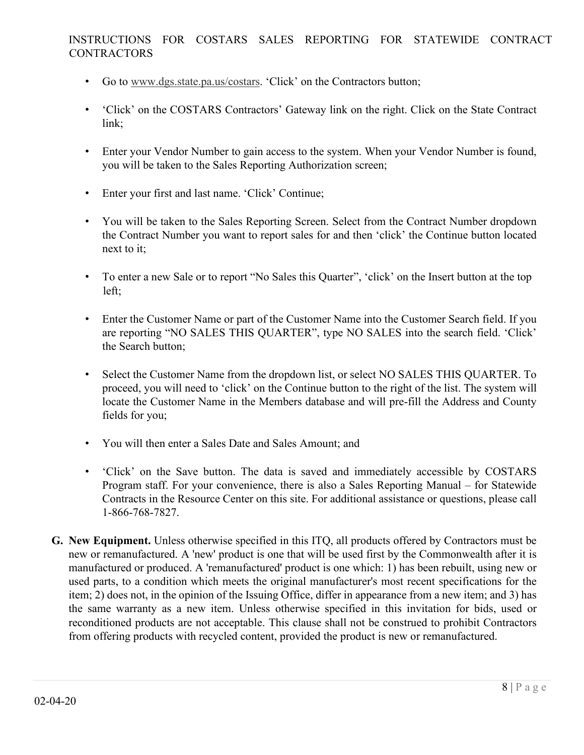## INSTRUCTIONS FOR COSTARS SALES REPORTING FOR STATEWIDE CONTRACT **CONTRACTORS**

- Go to [www.dgs.state.pa.us/costars.](http://www.dgs.state.pa.us/costars) 'Click' on the Contractors button;
- 'Click' on the COSTARS Contractors' Gateway link on the right. Click on the State Contract link;
- Enter your Vendor Number to gain access to the system. When your Vendor Number is found, you will be taken to the Sales Reporting Authorization screen;
- Enter your first and last name. 'Click' Continue;
- You will be taken to the Sales Reporting Screen. Select from the Contract Number dropdown the Contract Number you want to report sales for and then 'click' the Continue button located next to it;
- To enter a new Sale or to report "No Sales this Quarter", 'click' on the Insert button at the top left;
- Enter the Customer Name or part of the Customer Name into the Customer Search field. If you are reporting "NO SALES THIS QUARTER", type NO SALES into the search field. 'Click' the Search button;
- Select the Customer Name from the dropdown list, or select NO SALES THIS QUARTER. To proceed, you will need to 'click' on the Continue button to the right of the list. The system will locate the Customer Name in the Members database and will pre-fill the Address and County fields for you;
- You will then enter a Sales Date and Sales Amount; and
- 'Click' on the Save button. The data is saved and immediately accessible by COSTARS Program staff. For your convenience, there is also a Sales Reporting Manual – for Statewide Contracts in the Resource Center on this site. For additional assistance or questions, please call 1-866-768-7827.
- **G. New Equipment.** Unless otherwise specified in this ITQ, all products offered by Contractors must be new or remanufactured. A 'new' product is one that will be used first by the Commonwealth after it is manufactured or produced. A 'remanufactured' product is one which: 1) has been rebuilt, using new or used parts, to a condition which meets the original manufacturer's most recent specifications for the item; 2) does not, in the opinion of the Issuing Office, differ in appearance from a new item; and 3) has the same warranty as a new item. Unless otherwise specified in this invitation for bids, used or reconditioned products are not acceptable. This clause shall not be construed to prohibit Contractors from offering products with recycled content, provided the product is new or remanufactured.